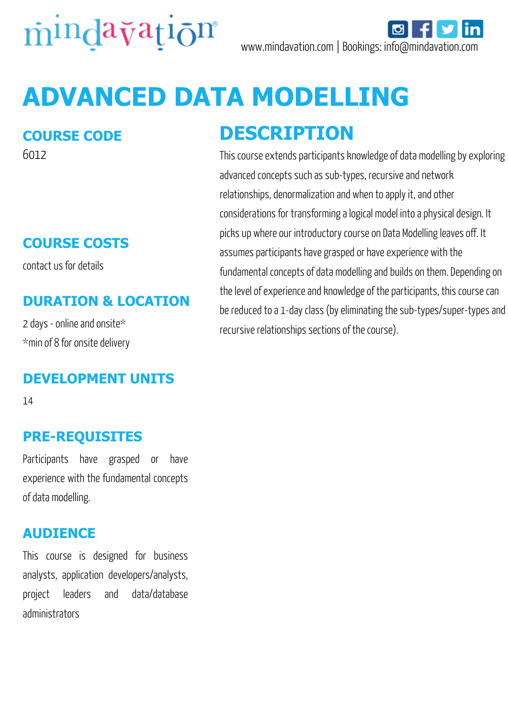

# **ADVANCED DATA MODELLING**

#### **COURSE CODE**

6012

#### **COURSE COSTS**

contact us for details

#### **DURATION & LOCATION**

2 days - online and onsite\* \*min of 8 for onsite delivery

#### **DEVELOPMENT UNITS**

14

#### **PRE-REQUISITES**

Participants have grasped or have experience with the fundamental concepts of data modelling.

#### **AUDIENCE**

This course is designed for business analysts, application developers/analysts, project leaders and data/database administrators

### **DESCRIPTION**

This course extends participants knowledge of data modelling by exploring advanced concepts such as sub-types, recursive and network relationships, denormalization and when to apply it, and other considerations for transforming a logical model into a physical design. It picks up where our introductory course on Data Modelling leaves off. It assumes participants have grasped or have experience with the fundamental concepts of data modelling and builds on them. Depending on the level of experience and knowledge of the participants, this course can be reduced to a 1-day class (by eliminating the sub-types/super-types and recursive relationships sections of the course).